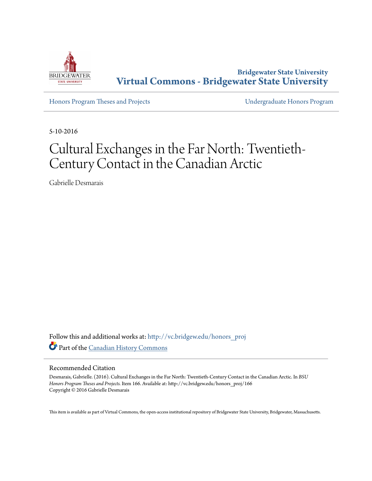

**Bridgewater State University [Virtual Commons - Bridgewater State University](http://vc.bridgew.edu?utm_source=vc.bridgew.edu%2Fhonors_proj%2F166&utm_medium=PDF&utm_campaign=PDFCoverPages)**

[Honors Program Theses and Projects](http://vc.bridgew.edu/honors_proj?utm_source=vc.bridgew.edu%2Fhonors_proj%2F166&utm_medium=PDF&utm_campaign=PDFCoverPages) [Undergraduate Honors Program](http://vc.bridgew.edu/honors?utm_source=vc.bridgew.edu%2Fhonors_proj%2F166&utm_medium=PDF&utm_campaign=PDFCoverPages)

5-10-2016

# Cultural Exchanges in the Far North: Twentieth-Century Contact in the Canadian Arctic

Gabrielle Desmarais

Follow this and additional works at: [http://vc.bridgew.edu/honors\\_proj](http://vc.bridgew.edu/honors_proj?utm_source=vc.bridgew.edu%2Fhonors_proj%2F166&utm_medium=PDF&utm_campaign=PDFCoverPages) Part of the [Canadian History Commons](http://network.bepress.com/hgg/discipline/1358?utm_source=vc.bridgew.edu%2Fhonors_proj%2F166&utm_medium=PDF&utm_campaign=PDFCoverPages)

#### Recommended Citation

Desmarais, Gabrielle. (2016). Cultural Exchanges in the Far North: Twentieth-Century Contact in the Canadian Arctic. In *BSU Honors Program Theses and Projects.* Item 166. Available at: http://vc.bridgew.edu/honors\_proj/166 Copyright © 2016 Gabrielle Desmarais

This item is available as part of Virtual Commons, the open-access institutional repository of Bridgewater State University, Bridgewater, Massachusetts.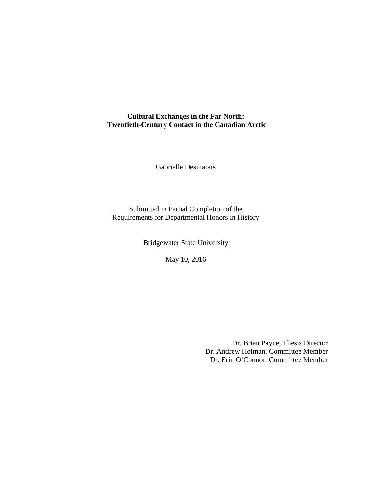# **Cultural Exchanges in the Far North: Twentieth-Century Contact in the Canadian Arctic**

Gabrielle Desmarais

Submitted in Partial Completion of the Requirements for Departmental Honors in History

Bridgewater State University

May 10, 2016

Dr. Brian Payne, Thesis Director Dr. Andrew Holman, Committee Member Dr. Erin O'Connor, Committee Member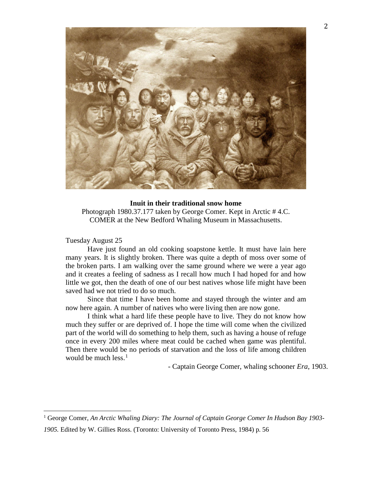

## **Inuit in their traditional snow home**

Photograph 1980.37.177 taken by George Comer. Kept in Arctic # 4.C. COMER at the New Bedford Whaling Museum in Massachusetts.

Tuesday August 25

Have just found an old cooking soapstone kettle. It must have lain here many years. It is slightly broken. There was quite a depth of moss over some of the broken parts. I am walking over the same ground where we were a year ago and it creates a feeling of sadness as I recall how much I had hoped for and how little we got, then the death of one of our best natives whose life might have been saved had we not tried to do so much.

Since that time I have been home and stayed through the winter and am now here again. A number of natives who were living then are now gone.

I think what a hard life these people have to live. They do not know how much they suffer or are deprived of. I hope the time will come when the civilized part of the world will do something to help them, such as having a house of refuge once in every 200 miles where meat could be cached when game was plentiful. Then there would be no periods of starvation and the loss of life among children would be much less. $<sup>1</sup>$  $<sup>1</sup>$  $<sup>1</sup>$ </sup>

- Captain George Comer, whaling schooner *Era*, 1903.

<span id="page-2-0"></span><sup>1</sup> George Comer, *An Arctic Whaling Diary: The Journal of Captain George Comer In Hudson Bay 1903-*

*<sup>1905.</sup>* Edited by W. Gillies Ross. (Toronto: University of Toronto Press, 1984) p. 56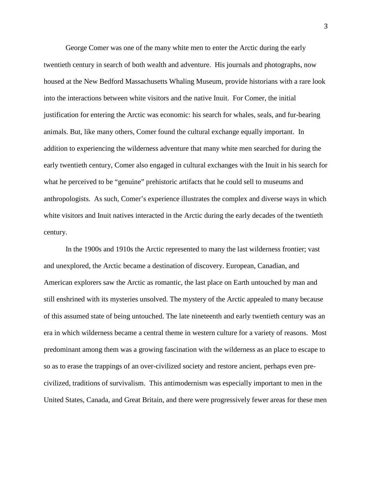George Comer was one of the many white men to enter the Arctic during the early twentieth century in search of both wealth and adventure. His journals and photographs, now housed at the New Bedford Massachusetts Whaling Museum, provide historians with a rare look into the interactions between white visitors and the native Inuit. For Comer, the initial justification for entering the Arctic was economic: his search for whales, seals, and fur-bearing animals. But, like many others, Comer found the cultural exchange equally important. In addition to experiencing the wilderness adventure that many white men searched for during the early twentieth century, Comer also engaged in cultural exchanges with the Inuit in his search for what he perceived to be "genuine" prehistoric artifacts that he could sell to museums and anthropologists. As such, Comer's experience illustrates the complex and diverse ways in which white visitors and Inuit natives interacted in the Arctic during the early decades of the twentieth century.

In the 1900s and 1910s the Arctic represented to many the last wilderness frontier; vast and unexplored, the Arctic became a destination of discovery. European, Canadian, and American explorers saw the Arctic as romantic, the last place on Earth untouched by man and still enshrined with its mysteries unsolved. The mystery of the Arctic appealed to many because of this assumed state of being untouched. The late nineteenth and early twentieth century was an era in which wilderness became a central theme in western culture for a variety of reasons. Most predominant among them was a growing fascination with the wilderness as an place to escape to so as to erase the trappings of an over-civilized society and restore ancient, perhaps even precivilized, traditions of survivalism. This antimodernism was especially important to men in the United States, Canada, and Great Britain, and there were progressively fewer areas for these men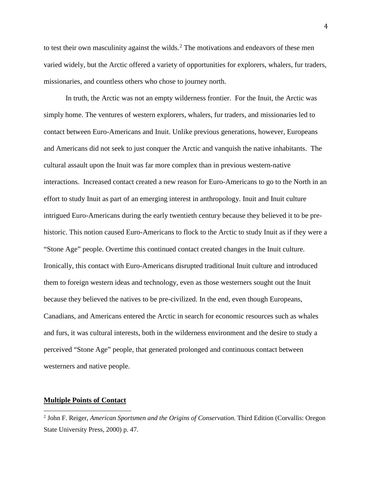to test their own masculinity against the wilds.<sup>[2](#page-4-0)</sup> The motivations and endeavors of these men varied widely, but the Arctic offered a variety of opportunities for explorers, whalers, fur traders, missionaries, and countless others who chose to journey north.

In truth, the Arctic was not an empty wilderness frontier. For the Inuit, the Arctic was simply home. The ventures of western explorers, whalers, fur traders, and missionaries led to contact between Euro-Americans and Inuit. Unlike previous generations, however, Europeans and Americans did not seek to just conquer the Arctic and vanquish the native inhabitants. The cultural assault upon the Inuit was far more complex than in previous western-native interactions. Increased contact created a new reason for Euro-Americans to go to the North in an effort to study Inuit as part of an emerging interest in anthropology. Inuit and Inuit culture intrigued Euro-Americans during the early twentieth century because they believed it to be prehistoric. This notion caused Euro-Americans to flock to the Arctic to study Inuit as if they were a "Stone Age" people. Overtime this continued contact created changes in the Inuit culture. Ironically, this contact with Euro-Americans disrupted traditional Inuit culture and introduced them to foreign western ideas and technology, even as those westerners sought out the Inuit because they believed the natives to be pre-civilized. In the end, even though Europeans, Canadians, and Americans entered the Arctic in search for economic resources such as whales and furs, it was cultural interests, both in the wilderness environment and the desire to study a perceived "Stone Age" people, that generated prolonged and continuous contact between westerners and native people.

## **Multiple Points of Contact**

<span id="page-4-0"></span><sup>2</sup> John F. Reiger, *American Sportsmen and the Origins of Conservation.* Third Edition (Corvallis: Oregon State University Press, 2000) p. 47.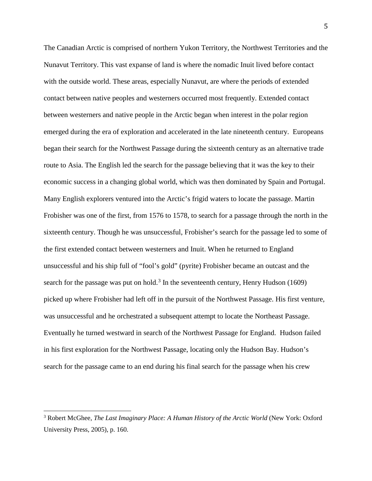The Canadian Arctic is comprised of northern Yukon Territory, the Northwest Territories and the Nunavut Territory. This vast expanse of land is where the nomadic Inuit lived before contact with the outside world. These areas, especially Nunavut, are where the periods of extended contact between native peoples and westerners occurred most frequently. Extended contact between westerners and native people in the Arctic began when interest in the polar region emerged during the era of exploration and accelerated in the late nineteenth century. Europeans began their search for the Northwest Passage during the sixteenth century as an alternative trade route to Asia. The English led the search for the passage believing that it was the key to their economic success in a changing global world, which was then dominated by Spain and Portugal. Many English explorers ventured into the Arctic's frigid waters to locate the passage. Martin Frobisher was one of the first, from 1576 to 1578, to search for a passage through the north in the sixteenth century. Though he was unsuccessful, Frobisher's search for the passage led to some of the first extended contact between westerners and Inuit. When he returned to England unsuccessful and his ship full of "fool's gold" (pyrite) Frobisher became an outcast and the search for the passage was put on hold.<sup>[3](#page-5-0)</sup> In the seventeenth century, Henry Hudson (1609) picked up where Frobisher had left off in the pursuit of the Northwest Passage. His first venture, was unsuccessful and he orchestrated a subsequent attempt to locate the Northeast Passage. Eventually he turned westward in search of the Northwest Passage for England. Hudson failed in his first exploration for the Northwest Passage, locating only the Hudson Bay. Hudson's search for the passage came to an end during his final search for the passage when his crew

<span id="page-5-0"></span><sup>&</sup>lt;sup>3</sup> Robert McGhee, *The Last Imaginary Place: A Human History of the Arctic World* (New York: Oxford University Press, 2005), p. 160.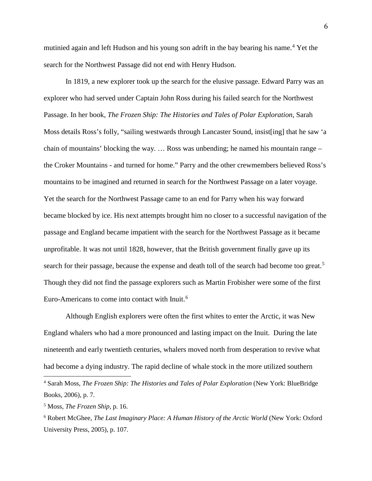mutinied again and left Hudson and his young son adrift in the bay bearing his name.[4](#page-6-0) Yet the search for the Northwest Passage did not end with Henry Hudson.

In 1819, a new explorer took up the search for the elusive passage. Edward Parry was an explorer who had served under Captain John Ross during his failed search for the Northwest Passage. In her book, *The Frozen Ship: The Histories and Tales of Polar Exploration*, Sarah Moss details Ross's folly, "sailing westwards through Lancaster Sound, insist[ing] that he saw 'a chain of mountains' blocking the way. … Ross was unbending; he named his mountain range – the Croker Mountains - and turned for home." Parry and the other crewmembers believed Ross's mountains to be imagined and returned in search for the Northwest Passage on a later voyage. Yet the search for the Northwest Passage came to an end for Parry when his way forward became blocked by ice. His next attempts brought him no closer to a successful navigation of the passage and England became impatient with the search for the Northwest Passage as it became unprofitable. It was not until 1828, however, that the British government finally gave up its search for their passage, because the expense and death toll of the search had become too great.<sup>[5](#page-6-1)</sup> Though they did not find the passage explorers such as Martin Frobisher were some of the first Euro-Americans to come into contact with Inuit.[6](#page-6-2)

Although English explorers were often the first whites to enter the Arctic, it was New England whalers who had a more pronounced and lasting impact on the Inuit. During the late nineteenth and early twentieth centuries, whalers moved north from desperation to revive what had become a dying industry. The rapid decline of whale stock in the more utilized southern

<span id="page-6-0"></span><sup>4</sup> Sarah Moss, *The Frozen Ship: The Histories and Tales of Polar Exploration* (New York: BlueBridge Books, 2006), p. 7.

<span id="page-6-1"></span><sup>5</sup> Moss, *The Frozen Ship,* p. 16.

<span id="page-6-2"></span><sup>6</sup> Robert McGhee, *The Last Imaginary Place: A Human History of the Arctic World* (New York: Oxford University Press, 2005), p. 107.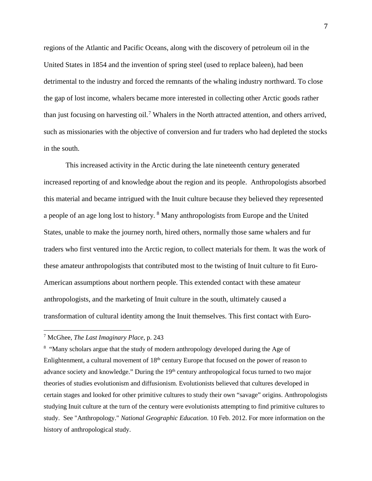regions of the Atlantic and Pacific Oceans, along with the discovery of petroleum oil in the United States in 1854 and the invention of spring steel (used to replace baleen), had been detrimental to the industry and forced the remnants of the whaling industry northward. To close the gap of lost income, whalers became more interested in collecting other Arctic goods rather than just focusing on harvesting oil.[7](#page-7-0) Whalers in the North attracted attention, and others arrived, such as missionaries with the objective of conversion and fur traders who had depleted the stocks in the south.

This increased activity in the Arctic during the late nineteenth century generated increased reporting of and knowledge about the region and its people. Anthropologists absorbed this material and became intrigued with the Inuit culture because they believed they represented a people of an age long lost to history. [8](#page-7-1) Many anthropologists from Europe and the United States, unable to make the journey north, hired others, normally those same whalers and fur traders who first ventured into the Arctic region, to collect materials for them. It was the work of these amateur anthropologists that contributed most to the twisting of Inuit culture to fit Euro-American assumptions about northern people. This extended contact with these amateur anthropologists, and the marketing of Inuit culture in the south, ultimately caused a transformation of cultural identity among the Inuit themselves. This first contact with Euro-

<span id="page-7-0"></span><sup>7</sup> McGhee, *The Last Imaginary Place*, p. 243

<span id="page-7-1"></span><sup>&</sup>lt;sup>8</sup> "Many scholars argue that the study of modern anthropology developed during the Age of Enlightenment, a cultural movement of 18<sup>th</sup> century Europe that focused on the power of reason to advance society and knowledge." During the 19<sup>th</sup> century anthropological focus turned to two major theories of studies evolutionism and diffusionism. Evolutionists believed that cultures developed in certain stages and looked for other primitive cultures to study their own "savage" origins. Anthropologists studying Inuit culture at the turn of the century were evolutionists attempting to find primitive cultures to study. See "Anthropology." *National Geographic Education*. 10 Feb. 2012. For more information on the history of anthropological study.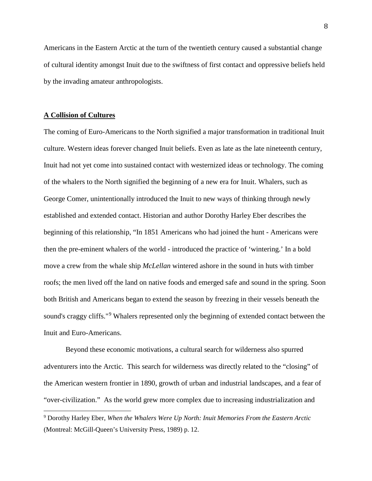Americans in the Eastern Arctic at the turn of the twentieth century caused a substantial change of cultural identity amongst Inuit due to the swiftness of first contact and oppressive beliefs held by the invading amateur anthropologists.

## **A Collision of Cultures**

The coming of Euro-Americans to the North signified a major transformation in traditional Inuit culture. Western ideas forever changed Inuit beliefs. Even as late as the late nineteenth century, Inuit had not yet come into sustained contact with westernized ideas or technology. The coming of the whalers to the North signified the beginning of a new era for Inuit. Whalers, such as George Comer, unintentionally introduced the Inuit to new ways of thinking through newly established and extended contact. Historian and author Dorothy Harley Eber describes the beginning of this relationship, "In 1851 Americans who had joined the hunt - Americans were then the pre-eminent whalers of the world - introduced the practice of 'wintering.' In a bold move a crew from the whale ship *McLellan* wintered ashore in the sound in huts with timber roofs; the men lived off the land on native foods and emerged safe and sound in the spring. Soon both British and Americans began to extend the season by freezing in their vessels beneath the sound's craggy cliffs."<sup>[9](#page-8-0)</sup> Whalers represented only the beginning of extended contact between the Inuit and Euro-Americans.

Beyond these economic motivations, a cultural search for wilderness also spurred adventurers into the Arctic. This search for wilderness was directly related to the "closing" of the American western frontier in 1890, growth of urban and industrial landscapes, and a fear of "over-civilization." As the world grew more complex due to increasing industrialization and

<span id="page-8-0"></span><sup>9</sup> Dorothy Harley Eber, *When the Whalers Were Up North: Inuit Memories From the Eastern Arctic* (Montreal: McGill-Queen's University Press, 1989) p. 12.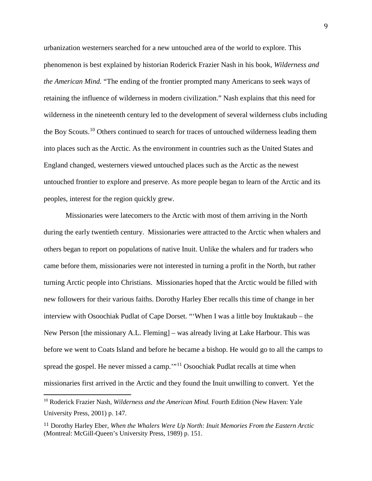urbanization westerners searched for a new untouched area of the world to explore. This phenomenon is best explained by historian Roderick Frazier Nash in his book, *Wilderness and the American Mind.* "The ending of the frontier prompted many Americans to seek ways of retaining the influence of wilderness in modern civilization." Nash explains that this need for wilderness in the nineteenth century led to the development of several wilderness clubs including the Boy Scouts.<sup>[10](#page-9-0)</sup> Others continued to search for traces of untouched wilderness leading them into places such as the Arctic. As the environment in countries such as the United States and England changed, westerners viewed untouched places such as the Arctic as the newest untouched frontier to explore and preserve. As more people began to learn of the Arctic and its peoples, interest for the region quickly grew.

Missionaries were latecomers to the Arctic with most of them arriving in the North during the early twentieth century. Missionaries were attracted to the Arctic when whalers and others began to report on populations of native Inuit. Unlike the whalers and fur traders who came before them, missionaries were not interested in turning a profit in the North, but rather turning Arctic people into Christians. Missionaries hoped that the Arctic would be filled with new followers for their various faiths. Dorothy Harley Eber recalls this time of change in her interview with Osoochiak Pudlat of Cape Dorset. "'When I was a little boy Inuktakaub – the New Person [the missionary A.L. Fleming] – was already living at Lake Harbour. This was before we went to Coats Island and before he became a bishop. He would go to all the camps to spread the gospel. He never missed a camp."<sup>[11](#page-9-1)</sup> Osoochiak Pudlat recalls at time when missionaries first arrived in the Arctic and they found the Inuit unwilling to convert. Yet the

<span id="page-9-0"></span><sup>&</sup>lt;sup>10</sup> Roderick Frazier Nash, *Wilderness and the American Mind*. Fourth Edition (New Haven: Yale University Press, 2001) p. 147.

<span id="page-9-1"></span><sup>11</sup> Dorothy Harley Eber, *When the Whalers Were Up North: Inuit Memories From the Eastern Arctic* (Montreal: McGill-Queen's University Press, 1989) p. 151.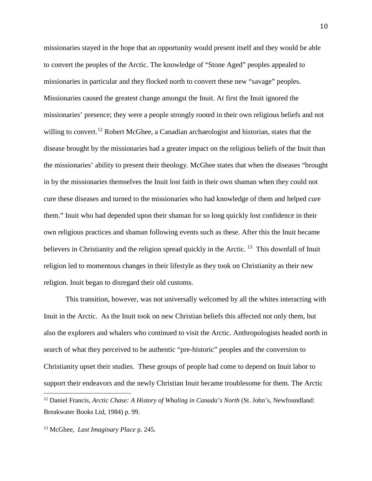missionaries stayed in the hope that an opportunity would present itself and they would be able to convert the peoples of the Arctic. The knowledge of "Stone Aged" peoples appealed to missionaries in particular and they flocked north to convert these new "savage" peoples. Missionaries caused the greatest change amongst the Inuit. At first the Inuit ignored the missionaries' presence; they were a people strongly rooted in their own religious beliefs and not willing to convert.<sup>[12](#page-10-0)</sup> Robert McGhee, a Canadian archaeologist and historian, states that the disease brought by the missionaries had a greater impact on the religious beliefs of the Inuit than the missionaries' ability to present their theology. McGhee states that when the diseases "brought in by the missionaries themselves the Inuit lost faith in their own shaman when they could not cure these diseases and turned to the missionaries who had knowledge of them and helped cure them." Inuit who had depended upon their shaman for so long quickly lost confidence in their own religious practices and shaman following events such as these. After this the Inuit became believers in Christianity and the religion spread quickly in the Arctic.  $^{13}$  $^{13}$  $^{13}$  This downfall of Inuit religion led to momentous changes in their lifestyle as they took on Christianity as their new religion. Inuit began to disregard their old customs.

This transition, however, was not universally welcomed by all the whites interacting with Inuit in the Arctic. As the Inuit took on new Christian beliefs this affected not only them, but also the explorers and whalers who continued to visit the Arctic. Anthropologists headed north in search of what they perceived to be authentic "pre-historic" peoples and the conversion to Christianity upset their studies. These groups of people had come to depend on Inuit labor to support their endeavors and the newly Christian Inuit became troublesome for them. The Arctic

<span id="page-10-0"></span><sup>12</sup> Daniel Francis, *Arctic Chase: <sup>A</sup> History of Whaling in Canada's North* (St. John's, Newfoundland: Breakwater Books Ltd, 1984) p. 99.

<span id="page-10-1"></span><sup>13</sup> McGhee, *Last Imaginary Place* p. 245.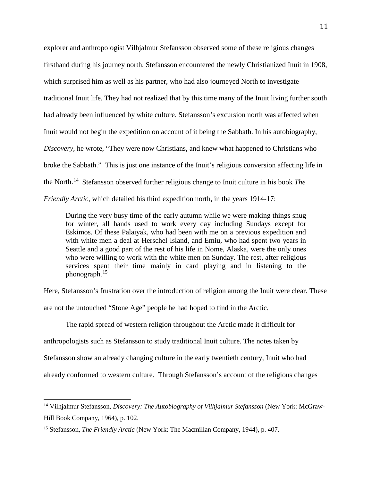explorer and anthropologist Vilhjalmur Stefansson observed some of these religious changes firsthand during his journey north. Stefansson encountered the newly Christianized Inuit in 1908, which surprised him as well as his partner, who had also journeyed North to investigate traditional Inuit life. They had not realized that by this time many of the Inuit living further south had already been influenced by white culture. Stefansson's excursion north was affected when Inuit would not begin the expedition on account of it being the Sabbath. In his autobiography, *Discovery,* he wrote, "They were now Christians, and knew what happened to Christians who broke the Sabbath." This is just one instance of the Inuit's religious conversion affecting life in the North.[14](#page-11-0) Stefansson observed further religious change to Inuit culture in his book *The Friendly Arctic,* which detailed his third expedition north, in the years 1914-17:

During the very busy time of the early autumn while we were making things snug for winter, all hands used to work every day including Sundays except for Eskimos. Of these Palaiyak, who had been with me on a previous expedition and with white men a deal at Herschel Island, and Emiu, who had spent two years in Seattle and a good part of the rest of his life in Nome, Alaska, were the only ones who were willing to work with the white men on Sunday. The rest, after religious services spent their time mainly in card playing and in listening to the phonograph.[15](#page-11-1)

Here, Stefansson's frustration over the introduction of religion among the Inuit were clear. These are not the untouched "Stone Age" people he had hoped to find in the Arctic.

The rapid spread of western religion throughout the Arctic made it difficult for

anthropologists such as Stefansson to study traditional Inuit culture. The notes taken by

Stefansson show an already changing culture in the early twentieth century, Inuit who had

already conformed to western culture. Through Stefansson's account of the religious changes

<span id="page-11-0"></span><sup>14</sup> Vilhjalmur Stefansson, *Discovery: The Autobiography of Vilhjalmur Stefansson* (New York: McGraw-Hill Book Company, 1964), p. 102.

<span id="page-11-1"></span><sup>15</sup> Stefansson, *The Friendly Arctic* (New York: The Macmillan Company, 1944), p. 407.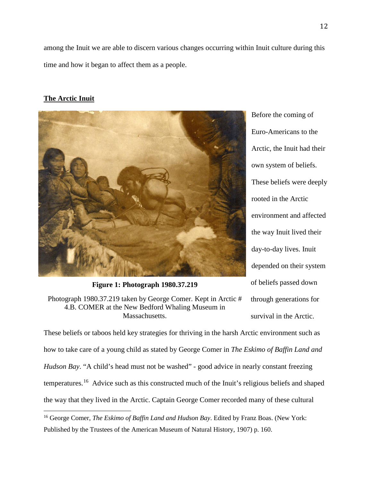among the Inuit we are able to discern various changes occurring within Inuit culture during this time and how it began to affect them as a people.

## **The Arctic Inuit**



**Figure 1: Photograph 1980.37.219**

Photograph 1980.37.219 taken by George Comer. Kept in Arctic # 4.B. COMER at the New Bedford Whaling Museum in Massachusetts.

Before the coming of Euro-Americans to the Arctic, the Inuit had their own system of beliefs. These beliefs were deeply rooted in the Arctic environment and affected the way Inuit lived their day-to-day lives. Inuit depended on their system of beliefs passed down through generations for survival in the Arctic.

These beliefs or taboos held key strategies for thriving in the harsh Arctic environment such as how to take care of a young child as stated by George Comer in *The Eskimo of Baffin Land and Hudson Bay*. "A child's head must not be washed" - good advice in nearly constant freezing temperatures.[16](#page-12-0) Advice such as this constructed much of the Inuit's religious beliefs and shaped the way that they lived in the Arctic. Captain George Comer recorded many of these cultural

<span id="page-12-0"></span><sup>&</sup>lt;sup>16</sup> George Comer, *The Eskimo of Baffin Land and Hudson Bay*. Edited by Franz Boas. (New York: Published by the Trustees of the American Museum of Natural History, 1907) p. 160.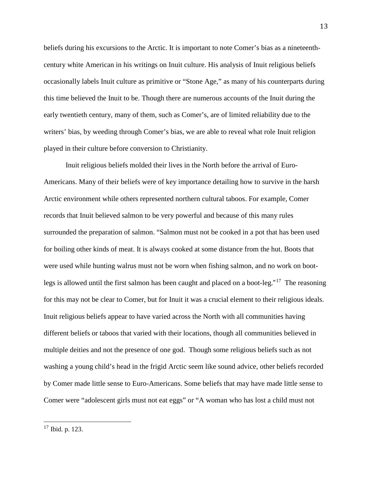beliefs during his excursions to the Arctic. It is important to note Comer's bias as a nineteenthcentury white American in his writings on Inuit culture. His analysis of Inuit religious beliefs occasionally labels Inuit culture as primitive or "Stone Age," as many of his counterparts during this time believed the Inuit to be. Though there are numerous accounts of the Inuit during the early twentieth century, many of them, such as Comer's, are of limited reliability due to the writers' bias, by weeding through Comer's bias, we are able to reveal what role Inuit religion played in their culture before conversion to Christianity.

Inuit religious beliefs molded their lives in the North before the arrival of Euro-Americans. Many of their beliefs were of key importance detailing how to survive in the harsh Arctic environment while others represented northern cultural taboos. For example, Comer records that Inuit believed salmon to be very powerful and because of this many rules surrounded the preparation of salmon. "Salmon must not be cooked in a pot that has been used for boiling other kinds of meat. It is always cooked at some distance from the hut. Boots that were used while hunting walrus must not be worn when fishing salmon, and no work on bootlegs is allowed until the first salmon has been caught and placed on a boot-leg."[17](#page-13-0) The reasoning for this may not be clear to Comer, but for Inuit it was a crucial element to their religious ideals. Inuit religious beliefs appear to have varied across the North with all communities having different beliefs or taboos that varied with their locations, though all communities believed in multiple deities and not the presence of one god. Though some religious beliefs such as not washing a young child's head in the frigid Arctic seem like sound advice, other beliefs recorded by Comer made little sense to Euro-Americans. Some beliefs that may have made little sense to Comer were "adolescent girls must not eat eggs" or "A woman who has lost a child must not

<span id="page-13-0"></span><sup>17</sup> Ibid. p. 123.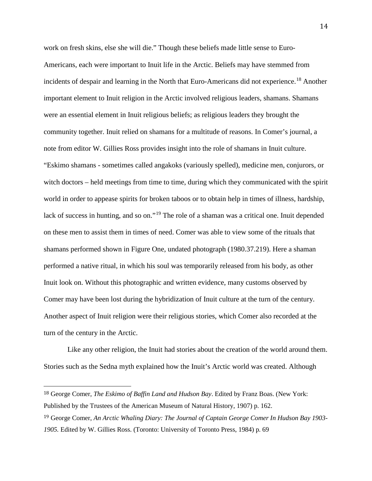work on fresh skins, else she will die." Though these beliefs made little sense to Euro-Americans, each were important to Inuit life in the Arctic. Beliefs may have stemmed from incidents of despair and learning in the North that Euro-Americans did not experience. [18](#page-14-0) Another important element to Inuit religion in the Arctic involved religious leaders, shamans. Shamans were an essential element in Inuit religious beliefs; as religious leaders they brought the community together. Inuit relied on shamans for a multitude of reasons. In Comer's journal, a note from editor W. Gillies Ross provides insight into the role of shamans in Inuit culture. "Eskimo shamans - sometimes called angakoks (variously spelled), medicine men, conjurors, or witch doctors – held meetings from time to time, during which they communicated with the spirit world in order to appease spirits for broken taboos or to obtain help in times of illness, hardship, lack of success in hunting, and so on."<sup>[19](#page-14-1)</sup> The role of a shaman was a critical one. Inuit depended on these men to assist them in times of need. Comer was able to view some of the rituals that shamans performed shown in Figure One, undated photograph (1980.37.219). Here a shaman performed a native ritual, in which his soul was temporarily released from his body, as other Inuit look on. Without this photographic and written evidence, many customs observed by Comer may have been lost during the hybridization of Inuit culture at the turn of the century. Another aspect of Inuit religion were their religious stories, which Comer also recorded at the turn of the century in the Arctic.

Like any other religion, the Inuit had stories about the creation of the world around them. Stories such as the Sedna myth explained how the Inuit's Arctic world was created. Although

<span id="page-14-0"></span> <sup>18</sup> George Comer, *The Eskimo of Baffin Land and Hudson Bay*. Edited by Franz Boas. (New York: Published by the Trustees of the American Museum of Natural History, 1907) p. 162.

<span id="page-14-1"></span><sup>19</sup> George Comer, *An Arctic Whaling Diary: The Journal of Captain George Comer In Hudson Bay 1903- 1905.* Edited by W. Gillies Ross. (Toronto: University of Toronto Press, 1984) p. 69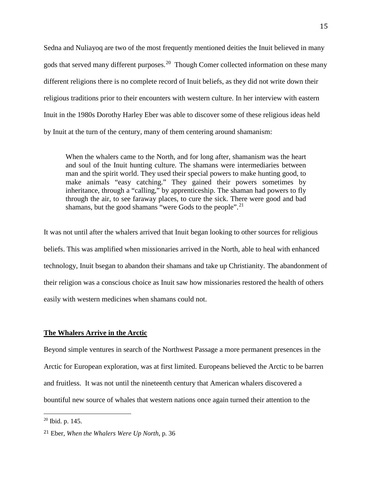Sedna and Nuliayoq are two of the most frequently mentioned deities the Inuit believed in many gods that served many different purposes.<sup>[20](#page-15-0)</sup> Though Comer collected information on these many different religions there is no complete record of Inuit beliefs, as they did not write down their religious traditions prior to their encounters with western culture. In her interview with eastern Inuit in the 1980s Dorothy Harley Eber was able to discover some of these religious ideas held by Inuit at the turn of the century, many of them centering around shamanism:

When the whalers came to the North, and for long after, shamanism was the heart and soul of the Inuit hunting culture. The shamans were intermediaries between man and the spirit world. They used their special powers to make hunting good, to make animals "easy catching." They gained their powers sometimes by inheritance, through a "calling," by apprenticeship. The shaman had powers to fly through the air, to see faraway places, to cure the sick. There were good and bad shamans, but the good shamans "were Gods to the people".<sup>21</sup>

It was not until after the whalers arrived that Inuit began looking to other sources for religious beliefs. This was amplified when missionaries arrived in the North, able to heal with enhanced technology, Inuit bsegan to abandon their shamans and take up Christianity. The abandonment of their religion was a conscious choice as Inuit saw how missionaries restored the health of others easily with western medicines when shamans could not.

#### **The Whalers Arrive in the Arctic**

Beyond simple ventures in search of the Northwest Passage a more permanent presences in the Arctic for European exploration, was at first limited. Europeans believed the Arctic to be barren and fruitless. It was not until the nineteenth century that American whalers discovered a bountiful new source of whales that western nations once again turned their attention to the

<span id="page-15-0"></span><sup>20</sup> Ibid. p. 145.

<span id="page-15-1"></span><sup>21</sup> Eber, *When the Whalers Were Up North*, p. 36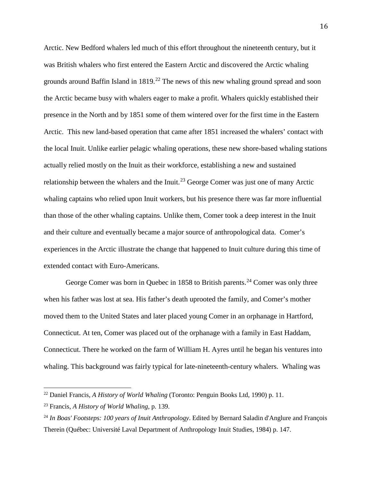Arctic. New Bedford whalers led much of this effort throughout the nineteenth century, but it was British whalers who first entered the Eastern Arctic and discovered the Arctic whaling grounds around Baffin Island in  $1819<sup>22</sup>$  $1819<sup>22</sup>$  $1819<sup>22</sup>$ . The news of this new whaling ground spread and soon the Arctic became busy with whalers eager to make a profit. Whalers quickly established their presence in the North and by 1851 some of them wintered over for the first time in the Eastern Arctic. This new land-based operation that came after 1851 increased the whalers' contact with the local Inuit. Unlike earlier pelagic whaling operations, these new shore-based whaling stations actually relied mostly on the Inuit as their workforce, establishing a new and sustained relationship between the whalers and the Inuit.<sup>[23](#page-16-1)</sup> George Comer was just one of many Arctic whaling captains who relied upon Inuit workers, but his presence there was far more influential than those of the other whaling captains. Unlike them, Comer took a deep interest in the Inuit and their culture and eventually became a major source of anthropological data. Comer's experiences in the Arctic illustrate the change that happened to Inuit culture during this time of extended contact with Euro-Americans.

George Comer was born in Quebec in 1858 to British parents.<sup>[24](#page-16-2)</sup> Comer was only three when his father was lost at sea. His father's death uprooted the family, and Comer's mother moved them to the United States and later placed young Comer in an orphanage in Hartford, Connecticut. At ten, Comer was placed out of the orphanage with a family in East Haddam, Connecticut. There he worked on the farm of William H. Ayres until he began his ventures into whaling. This background was fairly typical for late-nineteenth-century whalers. Whaling was

<span id="page-16-0"></span><sup>22</sup> Daniel Francis, *A History of World Whaling* (Toronto: Penguin Books Ltd, 1990) p. 11.

<span id="page-16-1"></span><sup>23</sup> Francis, *A History of World Whaling*, p. 139.

<span id="page-16-2"></span><sup>24</sup> *In Boas' Footsteps: 100 years of Inuit Anthropology*. Edited by Bernard Saladin d'Anglure and François Therein (Québec: Université Laval Department of Anthropology Inuit Studies, 1984) p. 147.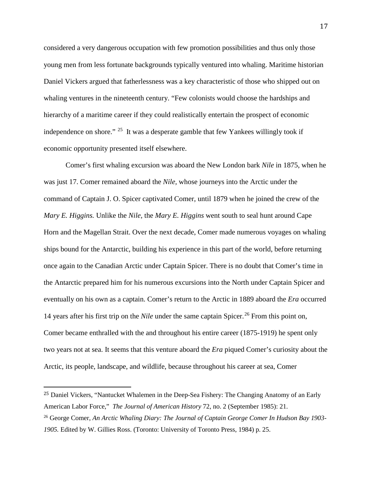considered a very dangerous occupation with few promotion possibilities and thus only those young men from less fortunate backgrounds typically ventured into whaling. Maritime historian Daniel Vickers argued that fatherlessness was a key characteristic of those who shipped out on whaling ventures in the nineteenth century. "Few colonists would choose the hardships and hierarchy of a maritime career if they could realistically entertain the prospect of economic independence on shore."  $25$  It was a desperate gamble that few Yankees willingly took if economic opportunity presented itself elsewhere.

Comer's first whaling excursion was aboard the New London bark *Nile* in 1875, when he was just 17. Comer remained aboard the *Nile,* whose journeys into the Arctic under the command of Captain J. O. Spicer captivated Comer, until 1879 when he joined the crew of the *Mary E. Higgins.* Unlike the *Nile,* the *Mary E. Higgins* went south to seal hunt around Cape Horn and the Magellan Strait. Over the next decade, Comer made numerous voyages on whaling ships bound for the Antarctic, building his experience in this part of the world, before returning once again to the Canadian Arctic under Captain Spicer. There is no doubt that Comer's time in the Antarctic prepared him for his numerous excursions into the North under Captain Spicer and eventually on his own as a captain. Comer's return to the Arctic in 1889 aboard the *Era* occurred 14 years after his first trip on the *Nile* under the same captain Spicer.[26](#page-17-1) From this point on, Comer became enthralled with the and throughout his entire career (1875-1919) he spent only two years not at sea. It seems that this venture aboard the *Era* piqued Comer's curiosity about the Arctic, its people, landscape, and wildlife, because throughout his career at sea, Comer

<span id="page-17-0"></span> <sup>25</sup> Daniel Vickers, "Nantucket Whalemen in the Deep-Sea Fishery: The Changing Anatomy of an Early American Labor Force," *The Journal of American History* 72, no. 2 (September 1985): 21.

<span id="page-17-1"></span><sup>26</sup> George Comer, *An Arctic Whaling Diary: The Journal of Captain George Comer In Hudson Bay 1903- 1905.* Edited by W. Gillies Ross. (Toronto: University of Toronto Press, 1984) p. 25.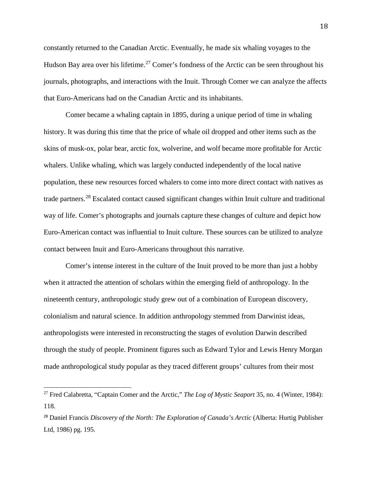constantly returned to the Canadian Arctic. Eventually, he made six whaling voyages to the Hudson Bay area over his lifetime.<sup>[27](#page-18-0)</sup> Comer's fondness of the Arctic can be seen throughout his journals, photographs, and interactions with the Inuit. Through Comer we can analyze the affects that Euro-Americans had on the Canadian Arctic and its inhabitants.

Comer became a whaling captain in 1895, during a unique period of time in whaling history. It was during this time that the price of whale oil dropped and other items such as the skins of musk-ox, polar bear, arctic fox, wolverine, and wolf became more profitable for Arctic whalers. Unlike whaling, which was largely conducted independently of the local native population, these new resources forced whalers to come into more direct contact with natives as trade partners.[28](#page-18-1) Escalated contact caused significant changes within Inuit culture and traditional way of life. Comer's photographs and journals capture these changes of culture and depict how Euro-American contact was influential to Inuit culture. These sources can be utilized to analyze contact between Inuit and Euro-Americans throughout this narrative.

Comer's intense interest in the culture of the Inuit proved to be more than just a hobby when it attracted the attention of scholars within the emerging field of anthropology. In the nineteenth century, anthropologic study grew out of a combination of European discovery, colonialism and natural science. In addition anthropology stemmed from Darwinist ideas, anthropologists were interested in reconstructing the stages of evolution Darwin described through the study of people. Prominent figures such as Edward Tylor and Lewis Henry Morgan made anthropological study popular as they traced different groups' cultures from their most

<span id="page-18-0"></span><sup>27</sup> Fred Calabretta, "Captain Comer and the Arctic," *The Log of Mystic Seaport* 35, no. 4 (Winter, 1984): 118.

<span id="page-18-1"></span><sup>28</sup> Daniel Francis *Discovery of the North: The Exploration of Canada's Arctic* (Alberta: Hurtig Publisher Ltd, 1986) pg. 195.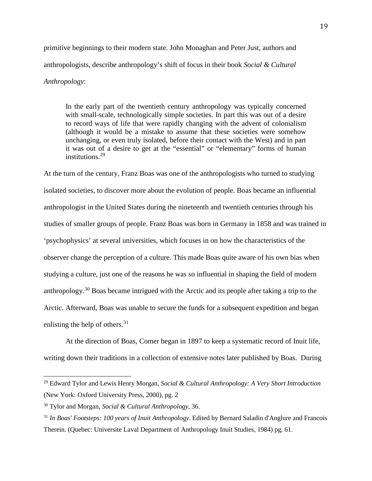primitive beginnings to their modern state. John Monaghan and Peter Just, authors and anthropologists, describe anthropology's shift of focus in their book *Social & Cultural Anthropology*:

In the early part of the twentieth century anthropology was typically concerned with small-scale, technologically simple societies. In part this was out of a desire to record ways of life that were rapidly changing with the advent of colonialism (although it would be a mistake to assume that these societies were somehow unchanging, or even truly isolated, before their contact with the West) and in part it was out of a desire to get at the "essential" or "elementary" forms of human institutions.[29](#page-19-0)

At the turn of the century, Franz Boas was one of the anthropologists who turned to studying isolated societies, to discover more about the evolution of people. Boas became an influential anthropologist in the United States during the nineteenth and twentieth centuries through his studies of smaller groups of people. Franz Boas was born in Germany in 1858 and was trained in 'psychophysics' at several universities, which focuses in on how the characteristics of the observer change the perception of a culture. This made Boas quite aware of his own bias when studying a culture, just one of the reasons he was so influential in shaping the field of modern anthropology.[30](#page-19-1) Boas became intrigued with the Arctic and its people after taking a trip to the Arctic. Afterward, Boas was unable to secure the funds for a subsequent expedition and began enlisting the help of others.<sup>31</sup>

At the direction of Boas, Comer began in 1897 to keep a systematic record of Inuit life, writing down their traditions in a collection of extensive notes later published by Boas. During

<span id="page-19-0"></span><sup>29</sup> Edward Tylor and Lewis Henry Morgan, *Social & Cultural Anthropology: A Very Short Introduction*  (New York: Oxford University Press, 2000), pg. 2

<span id="page-19-1"></span><sup>30</sup> Tylor and Morgan, *Social & Cultural Anthropology*, 36.

<span id="page-19-2"></span><sup>31</sup> *In Boas' Footsteps: 100 years of Inuit Anthropology*. Edited by Bernard Saladin d'Anglure and Francois Therein. (Quebec: Universite Laval Department of Anthropology Inuit Studies, 1984) pg. 61.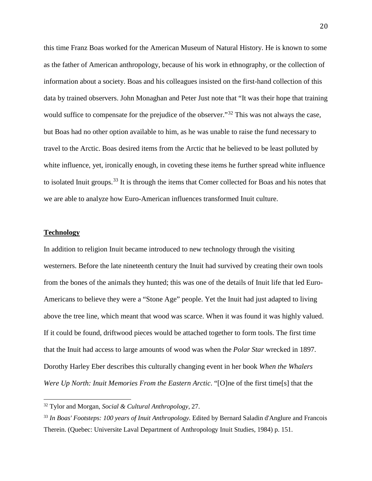this time Franz Boas worked for the American Museum of Natural History. He is known to some as the father of American anthropology, because of his work in ethnography, or the collection of information about a society. Boas and his colleagues insisted on the first-hand collection of this data by trained observers. John Monaghan and Peter Just note that "It was their hope that training would suffice to compensate for the prejudice of the observer."<sup>[32](#page-20-0)</sup> This was not always the case, but Boas had no other option available to him, as he was unable to raise the fund necessary to travel to the Arctic. Boas desired items from the Arctic that he believed to be least polluted by white influence, yet, ironically enough, in coveting these items he further spread white influence to isolated Inuit groups.<sup>[33](#page-20-1)</sup> It is through the items that Comer collected for Boas and his notes that we are able to analyze how Euro-American influences transformed Inuit culture.

## **Technology**

In addition to religion Inuit became introduced to new technology through the visiting westerners. Before the late nineteenth century the Inuit had survived by creating their own tools from the bones of the animals they hunted; this was one of the details of Inuit life that led Euro-Americans to believe they were a "Stone Age" people. Yet the Inuit had just adapted to living above the tree line, which meant that wood was scarce. When it was found it was highly valued. If it could be found, driftwood pieces would be attached together to form tools. The first time that the Inuit had access to large amounts of wood was when the *Polar Star* wrecked in 1897. Dorothy Harley Eber describes this culturally changing event in her book *When the Whalers Were Up North: Inuit Memories From the Eastern Arctic*. "[O]ne of the first time[s] that the

<span id="page-20-0"></span><sup>32</sup> Tylor and Morgan, *Social & Cultural Anthropology,* 27.

<span id="page-20-1"></span><sup>33</sup> *In Boas' Footsteps: 100 years of Inuit Anthropology.* Edited by Bernard Saladin d'Anglure and Francois Therein. (Quebec: Universite Laval Department of Anthropology Inuit Studies, 1984) p. 151.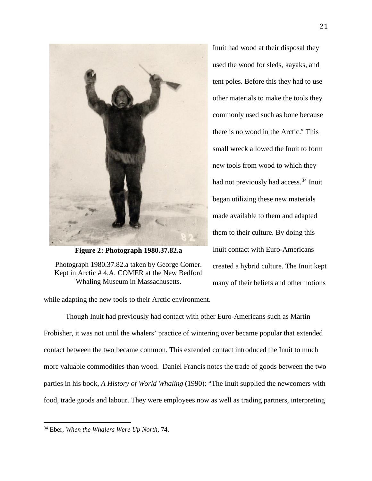

**Figure 2: Photograph 1980.37.82.a**

Photograph 1980.37.82.a taken by George Comer. Kept in Arctic # 4.A. COMER at the New Bedford Whaling Museum in Massachusetts.

Inuit had wood at their disposal they used the wood for sleds, kayaks, and tent poles. Before this they had to use other materials to make the tools they commonly used such as bone because there is no wood in the Arctic." This small wreck allowed the Inuit to form new tools from wood to which they had not previously had access. [34](#page-21-0) Inuit began utilizing these new materials made available to them and adapted them to their culture. By doing this Inuit contact with Euro-Americans created a hybrid culture. The Inuit kept many of their beliefs and other notions

while adapting the new tools to their Arctic environment.

Though Inuit had previously had contact with other Euro-Americans such as Martin Frobisher, it was not until the whalers' practice of wintering over became popular that extended contact between the two became common. This extended contact introduced the Inuit to much more valuable commodities than wood. Daniel Francis notes the trade of goods between the two parties in his book, *A History of World Whaling* (1990): "The Inuit supplied the newcomers with food, trade goods and labour. They were employees now as well as trading partners, interpreting

<span id="page-21-0"></span><sup>34</sup> Eber, *When the Whalers Were Up North,* 74.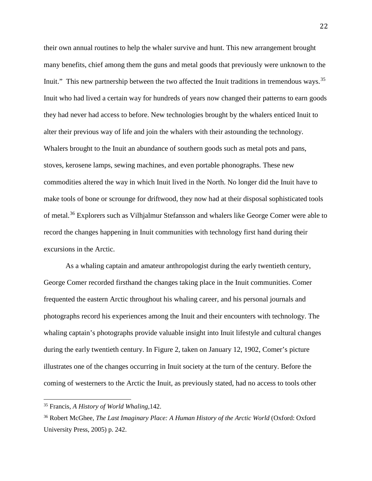their own annual routines to help the whaler survive and hunt. This new arrangement brought many benefits, chief among them the guns and metal goods that previously were unknown to the Inuit." This new partnership between the two affected the Inuit traditions in tremendous ways.<sup>[35](#page-22-0)</sup> Inuit who had lived a certain way for hundreds of years now changed their patterns to earn goods they had never had access to before. New technologies brought by the whalers enticed Inuit to alter their previous way of life and join the whalers with their astounding the technology. Whalers brought to the Inuit an abundance of southern goods such as metal pots and pans, stoves, kerosene lamps, sewing machines, and even portable phonographs. These new commodities altered the way in which Inuit lived in the North. No longer did the Inuit have to make tools of bone or scrounge for driftwood, they now had at their disposal sophisticated tools of metal.<sup>[36](#page-22-1)</sup> Explorers such as Vilhjalmur Stefansson and whalers like George Comer were able to record the changes happening in Inuit communities with technology first hand during their excursions in the Arctic.

As a whaling captain and amateur anthropologist during the early twentieth century, George Comer recorded firsthand the changes taking place in the Inuit communities. Comer frequented the eastern Arctic throughout his whaling career, and his personal journals and photographs record his experiences among the Inuit and their encounters with technology. The whaling captain's photographs provide valuable insight into Inuit lifestyle and cultural changes during the early twentieth century. In Figure 2, taken on January 12, 1902, Comer's picture illustrates one of the changes occurring in Inuit society at the turn of the century. Before the coming of westerners to the Arctic the Inuit, as previously stated, had no access to tools other

<span id="page-22-0"></span><sup>35</sup> Francis, *<sup>A</sup> History of World Whaling,*142.

<span id="page-22-1"></span><sup>&</sup>lt;sup>36</sup> Robert McGhee, *The Last Imaginary Place: A Human History of the Arctic World* (Oxford: Oxford University Press, 2005) p. 242.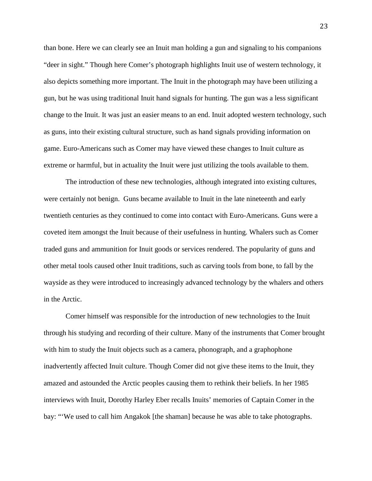than bone. Here we can clearly see an Inuit man holding a gun and signaling to his companions "deer in sight." Though here Comer's photograph highlights Inuit use of western technology, it also depicts something more important. The Inuit in the photograph may have been utilizing a gun, but he was using traditional Inuit hand signals for hunting. The gun was a less significant change to the Inuit. It was just an easier means to an end. Inuit adopted western technology, such as guns, into their existing cultural structure, such as hand signals providing information on game. Euro-Americans such as Comer may have viewed these changes to Inuit culture as extreme or harmful, but in actuality the Inuit were just utilizing the tools available to them.

The introduction of these new technologies, although integrated into existing cultures, were certainly not benign. Guns became available to Inuit in the late nineteenth and early twentieth centuries as they continued to come into contact with Euro-Americans. Guns were a coveted item amongst the Inuit because of their usefulness in hunting. Whalers such as Comer traded guns and ammunition for Inuit goods or services rendered. The popularity of guns and other metal tools caused other Inuit traditions, such as carving tools from bone, to fall by the wayside as they were introduced to increasingly advanced technology by the whalers and others in the Arctic.

Comer himself was responsible for the introduction of new technologies to the Inuit through his studying and recording of their culture. Many of the instruments that Comer brought with him to study the Inuit objects such as a camera, phonograph, and a graphophone inadvertently affected Inuit culture. Though Comer did not give these items to the Inuit, they amazed and astounded the Arctic peoples causing them to rethink their beliefs. In her 1985 interviews with Inuit, Dorothy Harley Eber recalls Inuits' memories of Captain Comer in the bay: "'We used to call him Angakok [the shaman] because he was able to take photographs.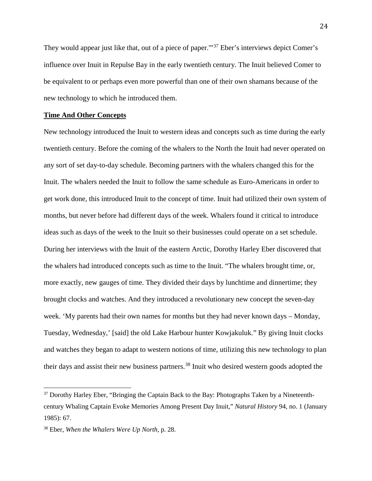They would appear just like that, out of a piece of paper."<sup>[37](#page-24-0)</sup> Eber's interviews depict Comer's influence over Inuit in Repulse Bay in the early twentieth century. The Inuit believed Comer to be equivalent to or perhaps even more powerful than one of their own shamans because of the new technology to which he introduced them.

## **Time And Other Concepts**

New technology introduced the Inuit to western ideas and concepts such as time during the early twentieth century. Before the coming of the whalers to the North the Inuit had never operated on any sort of set day-to-day schedule. Becoming partners with the whalers changed this for the Inuit. The whalers needed the Inuit to follow the same schedule as Euro-Americans in order to get work done, this introduced Inuit to the concept of time. Inuit had utilized their own system of months, but never before had different days of the week. Whalers found it critical to introduce ideas such as days of the week to the Inuit so their businesses could operate on a set schedule. During her interviews with the Inuit of the eastern Arctic, Dorothy Harley Eber discovered that the whalers had introduced concepts such as time to the Inuit. "The whalers brought time, or, more exactly, new gauges of time. They divided their days by lunchtime and dinnertime; they brought clocks and watches. And they introduced a revolutionary new concept the seven-day week. 'My parents had their own names for months but they had never known days – Monday, Tuesday, Wednesday,' [said] the old Lake Harbour hunter Kowjakuluk." By giving Inuit clocks and watches they began to adapt to western notions of time, utilizing this new technology to plan their days and assist their new business partners.[38](#page-24-1) Inuit who desired western goods adopted the

<span id="page-24-0"></span><sup>&</sup>lt;sup>37</sup> Dorothy Harley Eber, "Bringing the Captain Back to the Bay: Photographs Taken by a Nineteenthcentury Whaling Captain Evoke Memories Among Present Day Inuit," *Natural History* 94, no. 1 (January 1985): 67.

<span id="page-24-1"></span><sup>38</sup> Eber, *When the Whalers Were Up North,* p. 28.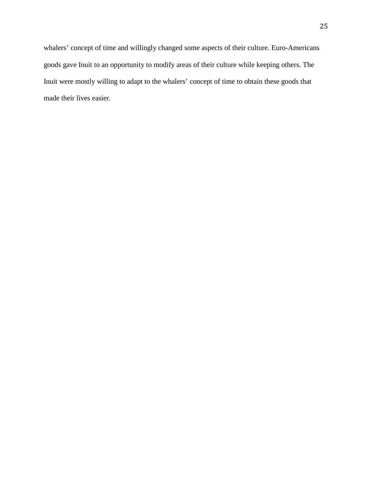whalers' concept of time and willingly changed some aspects of their culture. Euro-Americans goods gave Inuit to an opportunity to modify areas of their culture while keeping others. The Inuit were mostly willing to adapt to the whalers' concept of time to obtain these goods that made their lives easier.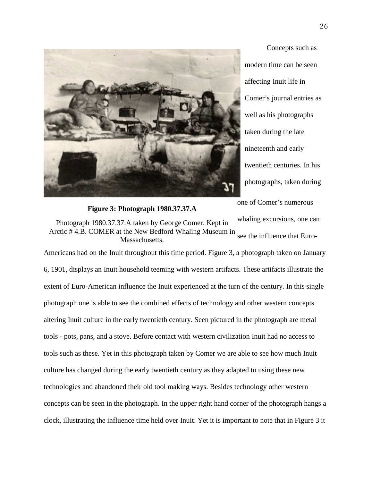

**Figure 3: Photograph 1980.37.37.A**

Concepts such as modern time can be seen affecting Inuit life in Comer's journal entries as well as his photographs taken during the late nineteenth and early twentieth centuries. In his photographs, taken during

one of Comer's numerous whaling excursions, one can

see the influence that Euro-Photograph 1980.37.37.A taken by George Comer. Kept in Arctic # 4.B. COMER at the New Bedford Whaling Museum in Massachusetts.

Americans had on the Inuit throughout this time period. Figure 3, a photograph taken on January 6, 1901, displays an Inuit household teeming with western artifacts. These artifacts illustrate the extent of Euro-American influence the Inuit experienced at the turn of the century. In this single photograph one is able to see the combined effects of technology and other western concepts altering Inuit culture in the early twentieth century. Seen pictured in the photograph are metal tools - pots, pans, and a stove. Before contact with western civilization Inuit had no access to tools such as these. Yet in this photograph taken by Comer we are able to see how much Inuit culture has changed during the early twentieth century as they adapted to using these new technologies and abandoned their old tool making ways. Besides technology other western concepts can be seen in the photograph. In the upper right hand corner of the photograph hangs a clock, illustrating the influence time held over Inuit. Yet it is important to note that in Figure 3 it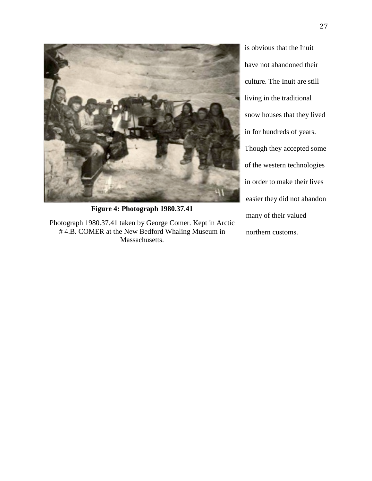

**Figure 4: Photograph 1980.37.41**

Photograph 1980.37.41 taken by George Comer. Kept in Arctic # 4.B. COMER at the New Bedford Whaling Museum in Massachusetts.

is obvious that the Inuit have not abandoned their culture. The Inuit are still living in the traditional snow houses that they lived in for hundreds of years. Though they accepted some of the western technologies in order to make their lives easier they did not abandon many of their valued northern customs.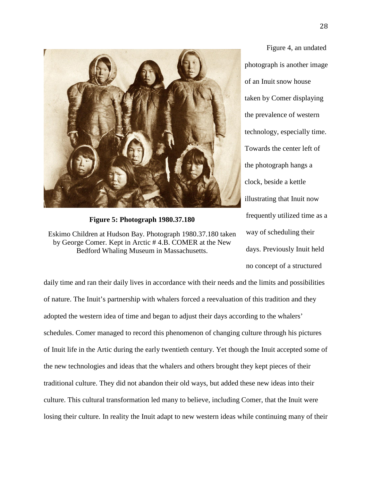

**Figure 5: Photograph 1980.37.180**

Eskimo Children at Hudson Bay. Photograph 1980.37.180 taken by George Comer. Kept in Arctic # 4.B. COMER at the New Bedford Whaling Museum in Massachusetts.

Figure 4, an undated photograph is another image of an Inuit snow house taken by Comer displaying the prevalence of western technology, especially time. Towards the center left of the photograph hangs a clock, beside a kettle illustrating that Inuit now frequently utilized time as a way of scheduling their days. Previously Inuit held no concept of a structured

daily time and ran their daily lives in accordance with their needs and the limits and possibilities of nature. The Inuit's partnership with whalers forced a reevaluation of this tradition and they adopted the western idea of time and began to adjust their days according to the whalers' schedules. Comer managed to record this phenomenon of changing culture through his pictures of Inuit life in the Artic during the early twentieth century. Yet though the Inuit accepted some of the new technologies and ideas that the whalers and others brought they kept pieces of their traditional culture. They did not abandon their old ways, but added these new ideas into their culture. This cultural transformation led many to believe, including Comer, that the Inuit were losing their culture. In reality the Inuit adapt to new western ideas while continuing many of their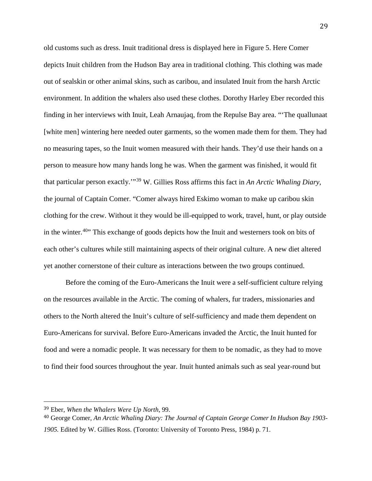old customs such as dress. Inuit traditional dress is displayed here in Figure 5. Here Comer depicts Inuit children from the Hudson Bay area in traditional clothing. This clothing was made out of sealskin or other animal skins, such as caribou, and insulated Inuit from the harsh Arctic environment. In addition the whalers also used these clothes. Dorothy Harley Eber recorded this finding in her interviews with Inuit, Leah Arnaujaq, from the Repulse Bay area. "'The quallunaat [white men] wintering here needed outer garments, so the women made them for them. They had no measuring tapes, so the Inuit women measured with their hands. They'd use their hands on a person to measure how many hands long he was. When the garment was finished, it would fit that particular person exactly.'"[39](#page-29-0) W. Gillies Ross affirms this fact in *An Arctic Whaling Diary*, the journal of Captain Comer. "Comer always hired Eskimo woman to make up caribou skin clothing for the crew. Without it they would be ill-equipped to work, travel, hunt, or play outside in the winter.<sup>[40](#page-29-1)</sup>" This exchange of goods depicts how the Inuit and westerners took on bits of each other's cultures while still maintaining aspects of their original culture. A new diet altered yet another cornerstone of their culture as interactions between the two groups continued.

Before the coming of the Euro-Americans the Inuit were a self-sufficient culture relying on the resources available in the Arctic. The coming of whalers, fur traders, missionaries and others to the North altered the Inuit's culture of self-sufficiency and made them dependent on Euro-Americans for survival. Before Euro-Americans invaded the Arctic, the Inuit hunted for food and were a nomadic people. It was necessary for them to be nomadic, as they had to move to find their food sources throughout the year. Inuit hunted animals such as seal year-round but

<span id="page-29-0"></span> <sup>39</sup> Eber, *When the Whalers Were Up North,* 99.

<span id="page-29-1"></span><sup>40</sup> George Comer, *An Arctic Whaling Diary: The Journal of Captain George Comer In Hudson Bay 1903- 1905.* Edited by W. Gillies Ross. (Toronto: University of Toronto Press, 1984) p. 71.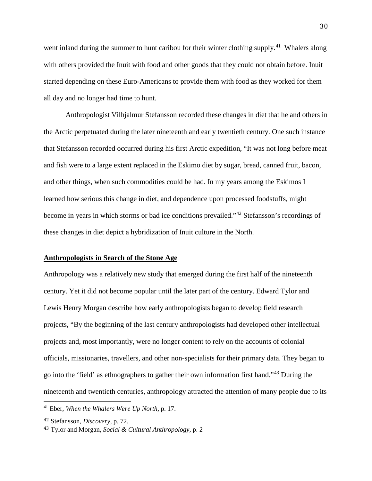went inland during the summer to hunt caribou for their winter clothing supply.<sup>[41](#page-30-0)</sup> Whalers along with others provided the Inuit with food and other goods that they could not obtain before. Inuit started depending on these Euro-Americans to provide them with food as they worked for them all day and no longer had time to hunt.

Anthropologist Vilhjalmur Stefansson recorded these changes in diet that he and others in the Arctic perpetuated during the later nineteenth and early twentieth century. One such instance that Stefansson recorded occurred during his first Arctic expedition, "It was not long before meat and fish were to a large extent replaced in the Eskimo diet by sugar, bread, canned fruit, bacon, and other things, when such commodities could be had. In my years among the Eskimos I learned how serious this change in diet, and dependence upon processed foodstuffs, might become in years in which storms or bad ice conditions prevailed."[42](#page-30-1) Stefansson's recordings of these changes in diet depict a hybridization of Inuit culture in the North.

## **Anthropologists in Search of the Stone Age**

Anthropology was a relatively new study that emerged during the first half of the nineteenth century. Yet it did not become popular until the later part of the century. Edward Tylor and Lewis Henry Morgan describe how early anthropologists began to develop field research projects, "By the beginning of the last century anthropologists had developed other intellectual projects and, most importantly, were no longer content to rely on the accounts of colonial officials, missionaries, travellers, and other non-specialists for their primary data. They began to go into the 'field' as ethnographers to gather their own information first hand."[43](#page-30-2) During the nineteenth and twentieth centuries, anthropology attracted the attention of many people due to its

<span id="page-30-0"></span><sup>41</sup> Eber, *When the Whalers Were Up North,* p. 17.

<span id="page-30-1"></span><sup>42</sup> Stefansson, *Discovery*, p. 72.

<span id="page-30-2"></span><sup>43</sup> Tylor and Morgan, *Social & Cultural Anthropology,* p. 2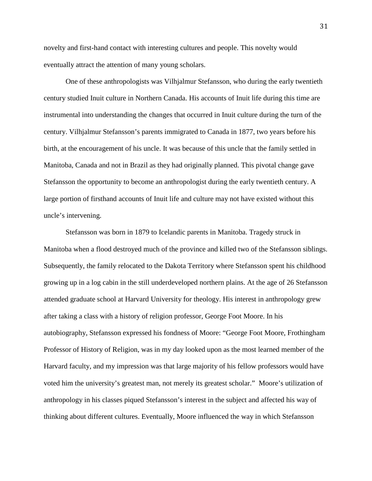novelty and first-hand contact with interesting cultures and people. This novelty would eventually attract the attention of many young scholars.

One of these anthropologists was Vilhjalmur Stefansson, who during the early twentieth century studied Inuit culture in Northern Canada. His accounts of Inuit life during this time are instrumental into understanding the changes that occurred in Inuit culture during the turn of the century. Vilhjalmur Stefansson's parents immigrated to Canada in 1877, two years before his birth, at the encouragement of his uncle. It was because of this uncle that the family settled in Manitoba, Canada and not in Brazil as they had originally planned. This pivotal change gave Stefansson the opportunity to become an anthropologist during the early twentieth century. A large portion of firsthand accounts of Inuit life and culture may not have existed without this uncle's intervening.

Stefansson was born in 1879 to Icelandic parents in Manitoba. Tragedy struck in Manitoba when a flood destroyed much of the province and killed two of the Stefansson siblings. Subsequently, the family relocated to the Dakota Territory where Stefansson spent his childhood growing up in a log cabin in the still underdeveloped northern plains. At the age of 26 Stefansson attended graduate school at Harvard University for theology. His interest in anthropology grew after taking a class with a history of religion professor, George Foot Moore. In his autobiography, Stefansson expressed his fondness of Moore: "George Foot Moore, Frothingham Professor of History of Religion, was in my day looked upon as the most learned member of the Harvard faculty, and my impression was that large majority of his fellow professors would have voted him the university's greatest man, not merely its greatest scholar." Moore's utilization of anthropology in his classes piqued Stefansson's interest in the subject and affected his way of thinking about different cultures. Eventually, Moore influenced the way in which Stefansson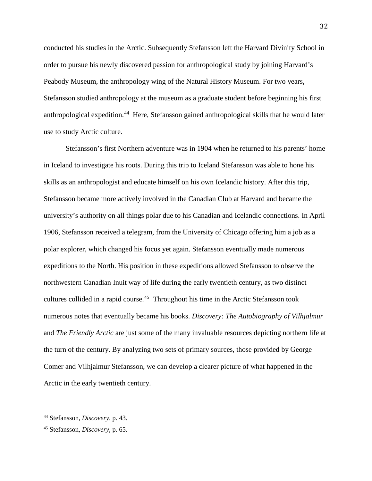conducted his studies in the Arctic. Subsequently Stefansson left the Harvard Divinity School in order to pursue his newly discovered passion for anthropological study by joining Harvard's Peabody Museum, the anthropology wing of the Natural History Museum. For two years, Stefansson studied anthropology at the museum as a graduate student before beginning his first anthropological expedition.<sup>[44](#page-32-0)</sup> Here, Stefansson gained anthropological skills that he would later use to study Arctic culture.

Stefansson's first Northern adventure was in 1904 when he returned to his parents' home in Iceland to investigate his roots. During this trip to Iceland Stefansson was able to hone his skills as an anthropologist and educate himself on his own Icelandic history. After this trip, Stefansson became more actively involved in the Canadian Club at Harvard and became the university's authority on all things polar due to his Canadian and Icelandic connections. In April 1906, Stefansson received a telegram, from the University of Chicago offering him a job as a polar explorer, which changed his focus yet again. Stefansson eventually made numerous expeditions to the North. His position in these expeditions allowed Stefansson to observe the northwestern Canadian Inuit way of life during the early twentieth century, as two distinct cultures collided in a rapid course.<sup>45</sup> Throughout his time in the Arctic Stefansson took numerous notes that eventually became his books. *Discovery: The Autobiography of Vilhjalmur* and *The Friendly Arctic* are just some of the many invaluable resources depicting northern life at the turn of the century. By analyzing two sets of primary sources, those provided by George Comer and Vilhjalmur Stefansson, we can develop a clearer picture of what happened in the Arctic in the early twentieth century.

<span id="page-32-0"></span><sup>44</sup> Stefansson, *Discovery,* p. 43.

<span id="page-32-1"></span><sup>45</sup> Stefansson, *Discovery*, p. 65.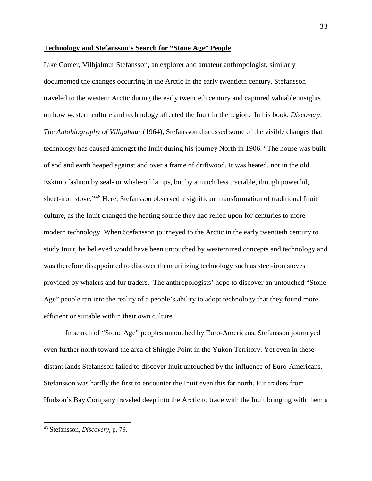## **Technology and Stefansson's Search for "Stone Age" People**

Like Comer, Vilhjalmur Stefansson, an explorer and amateur anthropologist, similarly documented the changes occurring in the Arctic in the early twentieth century. Stefansson traveled to the western Arctic during the early twentieth century and captured valuable insights on how western culture and technology affected the Inuit in the region. In his book, *Discovery: The Autobiography of Vilhjalmur* (1964), Stefansson discussed some of the visible changes that technology has caused amongst the Inuit during his journey North in 1906. "The house was built of sod and earth heaped against and over a frame of driftwood. It was heated, not in the old Eskimo fashion by seal- or whale-oil lamps, but by a much less tractable, though powerful, sheet-iron stove."[46](#page-33-0) Here, Stefansson observed a significant transformation of traditional Inuit culture, as the Inuit changed the heating source they had relied upon for centuries to more modern technology. When Stefansson journeyed to the Arctic in the early twentieth century to study Inuit, he believed would have been untouched by westernized concepts and technology and was therefore disappointed to discover them utilizing technology such as steel-iron stoves provided by whalers and fur traders. The anthropologists' hope to discover an untouched "Stone Age" people ran into the reality of a people's ability to adopt technology that they found more efficient or suitable within their own culture.

In search of "Stone Age" peoples untouched by Euro-Americans, Stefansson journeyed even further north toward the area of Shingle Point in the Yukon Territory. Yet even in these distant lands Stefansson failed to discover Inuit untouched by the influence of Euro-Americans. Stefansson was hardly the first to encounter the Inuit even this far north. Fur traders from Hudson's Bay Company traveled deep into the Arctic to trade with the Inuit bringing with them a

<span id="page-33-0"></span><sup>46</sup> Stefansson, *Discovery*, p. 79.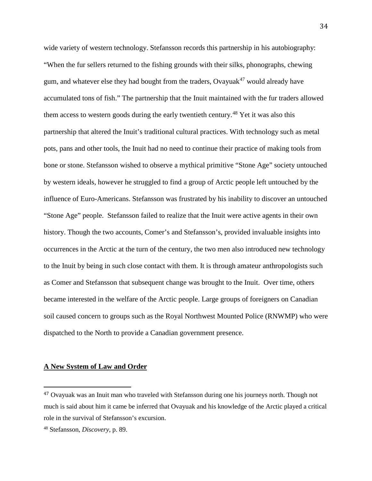wide variety of western technology. Stefansson records this partnership in his autobiography: "When the fur sellers returned to the fishing grounds with their silks, phonographs, chewing gum, and whatever else they had bought from the traders, Ovayuak<sup>[47](#page-34-0)</sup> would already have accumulated tons of fish." The partnership that the Inuit maintained with the fur traders allowed them access to western goods during the early twentieth century.<sup>[48](#page-34-1)</sup> Yet it was also this partnership that altered the Inuit's traditional cultural practices. With technology such as metal pots, pans and other tools, the Inuit had no need to continue their practice of making tools from bone or stone. Stefansson wished to observe a mythical primitive "Stone Age" society untouched by western ideals, however he struggled to find a group of Arctic people left untouched by the influence of Euro-Americans. Stefansson was frustrated by his inability to discover an untouched "Stone Age" people. Stefansson failed to realize that the Inuit were active agents in their own history. Though the two accounts, Comer's and Stefansson's, provided invaluable insights into occurrences in the Arctic at the turn of the century, the two men also introduced new technology to the Inuit by being in such close contact with them. It is through amateur anthropologists such as Comer and Stefansson that subsequent change was brought to the Inuit. Over time, others became interested in the welfare of the Arctic people. Large groups of foreigners on Canadian soil caused concern to groups such as the Royal Northwest Mounted Police (RNWMP) who were dispatched to the North to provide a Canadian government presence.

#### **A New System of Law and Order**

<span id="page-34-0"></span> <sup>47</sup> Ovayuak was an Inuit man who traveled with Stefansson during one his journeys north. Though not much is said about him it came be inferred that Ovayuak and his knowledge of the Arctic played a critical role in the survival of Stefansson's excursion.

<span id="page-34-1"></span><sup>48</sup> Stefansson, *Discovery*, p. 89.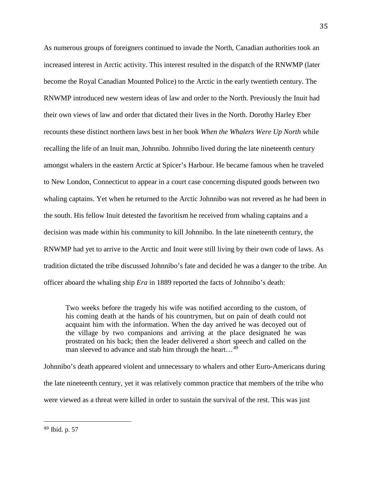As numerous groups of foreigners continued to invade the North, Canadian authorities took an increased interest in Arctic activity. This interest resulted in the dispatch of the RNWMP (later become the Royal Canadian Mounted Police) to the Arctic in the early twentieth century. The RNWMP introduced new western ideas of law and order to the North. Previously the Inuit had their own views of law and order that dictated their lives in the North. Dorothy Harley Eber recounts these distinct northern laws best in her book *When the Whalers Were Up North* while recalling the life of an Inuit man, Johnnibo*.* Johnnibo lived during the late nineteenth century amongst whalers in the eastern Arctic at Spicer's Harbour. He became famous when he traveled to New London, Connecticut to appear in a court case concerning disputed goods between two whaling captains. Yet when he returned to the Arctic Johnnibo was not revered as he had been in the south. His fellow Inuit detested the favoritism he received from whaling captains and a decision was made within his community to kill Johnnibo. In the late nineteenth century, the RNWMP had yet to arrive to the Arctic and Inuit were still living by their own code of laws. As tradition dictated the tribe discussed Johnnibo's fate and decided he was a danger to the tribe. An officer aboard the whaling ship *Era* in 1889 reported the facts of Johnnibo's death:

Two weeks before the tragedy his wife was notified according to the custom, of his coming death at the hands of his countrymen, but on pain of death could not acquaint him with the information. When the day arrived he was decoyed out of the village by two companions and arriving at the place designated he was prostrated on his back; then the leader delivered a short speech and called on the man sleeved to advance and stab him through the heart...<sup>[49](#page-35-0)</sup>

Johnnibo's death appeared violent and unnecessary to whalers and other Euro-Americans during the late nineteenth century, yet it was relatively common practice that members of the tribe who were viewed as a threat were killed in order to sustain the survival of the rest. This was just

<span id="page-35-0"></span> <sup>49</sup> Ibid. p. 57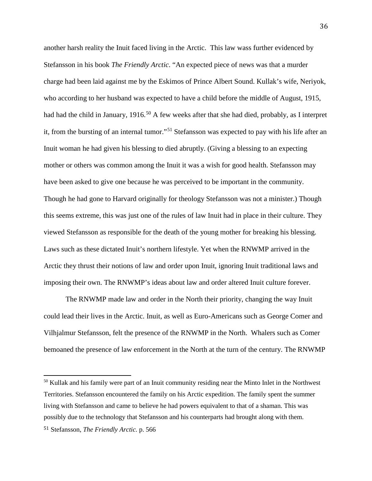another harsh reality the Inuit faced living in the Arctic. This law wass further evidenced by Stefansson in his book *The Friendly Arctic*. "An expected piece of news was that a murder charge had been laid against me by the Eskimos of Prince Albert Sound. Kullak's wife, Neriyok, who according to her husband was expected to have a child before the middle of August, 1915, had had the child in January, 1916.<sup>[50](#page-36-0)</sup> A few weeks after that she had died, probably, as I interpret it, from the bursting of an internal tumor."[51](#page-36-1) Stefansson was expected to pay with his life after an Inuit woman he had given his blessing to died abruptly. (Giving a blessing to an expecting mother or others was common among the Inuit it was a wish for good health. Stefansson may have been asked to give one because he was perceived to be important in the community. Though he had gone to Harvard originally for theology Stefansson was not a minister.) Though this seems extreme, this was just one of the rules of law Inuit had in place in their culture. They viewed Stefansson as responsible for the death of the young mother for breaking his blessing. Laws such as these dictated Inuit's northern lifestyle. Yet when the RNWMP arrived in the Arctic they thrust their notions of law and order upon Inuit, ignoring Inuit traditional laws and imposing their own. The RNWMP's ideas about law and order altered Inuit culture forever.

The RNWMP made law and order in the North their priority, changing the way Inuit could lead their lives in the Arctic. Inuit, as well as Euro-Americans such as George Comer and Vilhjalmur Stefansson, felt the presence of the RNWMP in the North. Whalers such as Comer bemoaned the presence of law enforcement in the North at the turn of the century. The RNWMP

<span id="page-36-1"></span><span id="page-36-0"></span><sup>50</sup> Kullak and his family were part of an Inuit community residing near the Minto Inlet in the Northwest Territories. Stefansson encountered the family on his Arctic expedition. The family spent the summer living with Stefansson and came to believe he had powers equivalent to that of a shaman. This was possibly due to the technology that Stefansson and his counterparts had brought along with them. 51 Stefansson, *The Friendly Arctic.* p. 566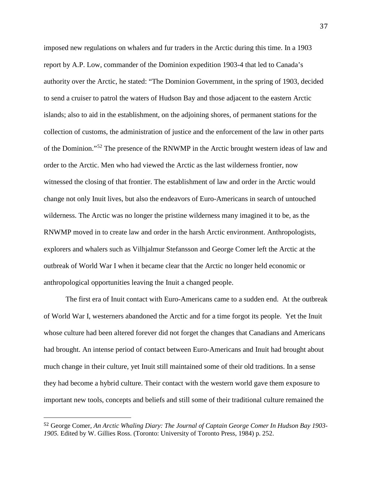imposed new regulations on whalers and fur traders in the Arctic during this time. In a 1903 report by A.P. Low, commander of the Dominion expedition 1903-4 that led to Canada's authority over the Arctic, he stated: "The Dominion Government, in the spring of 1903, decided to send a cruiser to patrol the waters of Hudson Bay and those adjacent to the eastern Arctic islands; also to aid in the establishment, on the adjoining shores, of permanent stations for the collection of customs, the administration of justice and the enforcement of the law in other parts of the Dominion."[52](#page-37-0) The presence of the RNWMP in the Arctic brought western ideas of law and order to the Arctic. Men who had viewed the Arctic as the last wilderness frontier, now witnessed the closing of that frontier. The establishment of law and order in the Arctic would change not only Inuit lives, but also the endeavors of Euro-Americans in search of untouched wilderness. The Arctic was no longer the pristine wilderness many imagined it to be, as the RNWMP moved in to create law and order in the harsh Arctic environment. Anthropologists, explorers and whalers such as Vilhjalmur Stefansson and George Comer left the Arctic at the outbreak of World War I when it became clear that the Arctic no longer held economic or anthropological opportunities leaving the Inuit a changed people.

The first era of Inuit contact with Euro-Americans came to a sudden end. At the outbreak of World War I, westerners abandoned the Arctic and for a time forgot its people. Yet the Inuit whose culture had been altered forever did not forget the changes that Canadians and Americans had brought. An intense period of contact between Euro-Americans and Inuit had brought about much change in their culture, yet Inuit still maintained some of their old traditions. In a sense they had become a hybrid culture. Their contact with the western world gave them exposure to important new tools, concepts and beliefs and still some of their traditional culture remained the

<span id="page-37-0"></span> <sup>52</sup> George Comer, *An Arctic Whaling Diary: The Journal of Captain George Comer In Hudson Bay 1903- 1905.* Edited by W. Gillies Ross. (Toronto: University of Toronto Press, 1984) p. 252.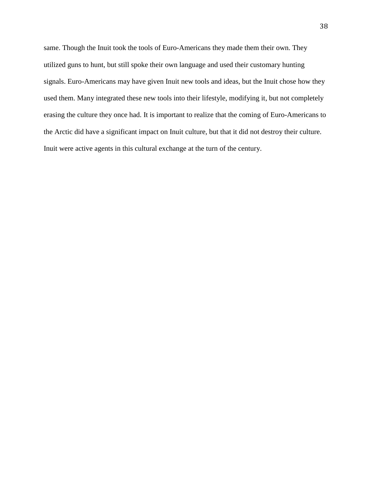same. Though the Inuit took the tools of Euro-Americans they made them their own. They utilized guns to hunt, but still spoke their own language and used their customary hunting signals. Euro-Americans may have given Inuit new tools and ideas, but the Inuit chose how they used them. Many integrated these new tools into their lifestyle, modifying it, but not completely erasing the culture they once had. It is important to realize that the coming of Euro-Americans to the Arctic did have a significant impact on Inuit culture, but that it did not destroy their culture. Inuit were active agents in this cultural exchange at the turn of the century.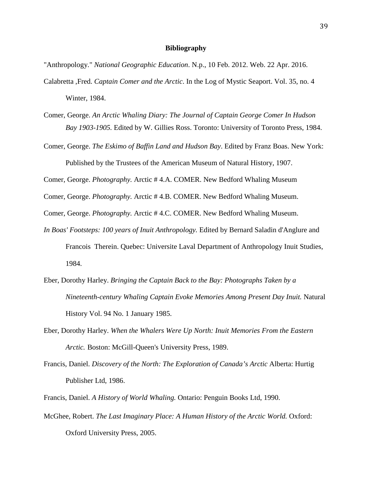#### **Bibliography**

"Anthropology." *National Geographic Education*. N.p., 10 Feb. 2012. Web. 22 Apr. 2016.

- Calabretta ,Fred. *Captain Comer and the Arctic*. In the Log of Mystic Seaport. Vol. 35, no. 4 Winter, 1984.
- Comer, George. *An Arctic Whaling Diary: The Journal of Captain George Comer In Hudson Bay 1903-1905.* Edited by W. Gillies Ross. Toronto: University of Toronto Press, 1984.
- Comer, George. *The Eskimo of Baffin Land and Hudson Bay*. Edited by Franz Boas. New York: Published by the Trustees of the American Museum of Natural History, 1907.

Comer, George. *Photography.* Arctic # 4.A. COMER. New Bedford Whaling Museum

Comer, George. *Photography.* Arctic # 4.B. COMER. New Bedford Whaling Museum.

Comer, George. *Photography.* Arctic # 4.C. COMER. New Bedford Whaling Museum.

- *In Boas' Footsteps: 100 years of Inuit Anthropology.* Edited by Bernard Saladin d'Anglure and Francois Therein. Quebec: Universite Laval Department of Anthropology Inuit Studies, 1984.
- Eber, Dorothy Harley. *Bringing the Captain Back to the Bay: Photographs Taken by a Nineteenth-century Whaling Captain Evoke Memories Among Present Day Inuit.* Natural History Vol. 94 No. 1 January 1985.
- Eber, Dorothy Harley. *When the Whalers Were Up North: Inuit Memories From the Eastern Arctic.* Boston: McGill-Queen's University Press, 1989.
- Francis, Daniel. *Discovery of the North: The Exploration of Canada's Arctic* Alberta: Hurtig Publisher Ltd, 1986.
- Francis, Daniel. *A History of World Whaling.* Ontario: Penguin Books Ltd, 1990.
- McGhee, Robert. *The Last Imaginary Place: A Human History of the Arctic World.* Oxford: Oxford University Press, 2005.